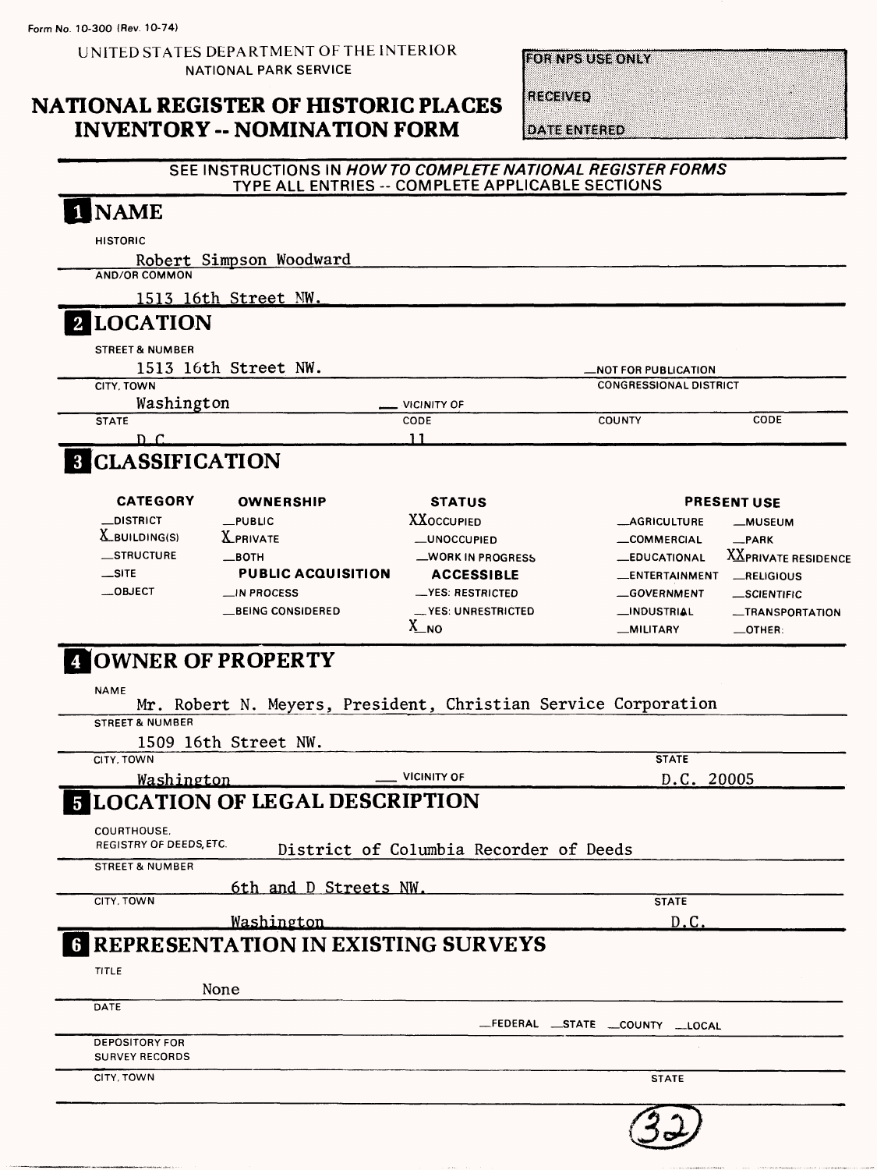UNITED STATES DEPARTMENT OF THE INTERIOR NATIONAL PARK SERVICE

**FOR NPS USE ONLY** 

# **NATIONAL REGISTER OF HISTORIC PLACES INVENTORY -- NOMINATION FORM**

**RECEIVED** 

**DATE ENTERED** 

### SEE INSTRUCTIONS IN HOW TO COMPLETE NATIONAL REGISTER FORMS TYPE ALL ENTRIES -- COMPLETE APPLICABLE SECTIONS

|                                                                      | Robert Simpson Woodward                                        |                                        |                                                       |                            |
|----------------------------------------------------------------------|----------------------------------------------------------------|----------------------------------------|-------------------------------------------------------|----------------------------|
| <b>AND/OR COMMON</b>                                                 |                                                                |                                        |                                                       |                            |
|                                                                      | 1513 16th Street NW.                                           |                                        |                                                       |                            |
| 2 LOCATION                                                           |                                                                |                                        |                                                       |                            |
| <b>STREET &amp; NUMBER</b>                                           | 1513 16th Street NW.                                           |                                        |                                                       |                            |
| CITY, TOWN                                                           |                                                                |                                        | _NOT FOR PUBLICATION<br><b>CONGRESSIONAL DISTRICT</b> |                            |
| Washington                                                           |                                                                | VICINITY OF                            |                                                       |                            |
| <b>STATE</b>                                                         |                                                                | CODE<br>11                             | <b>COUNTY</b>                                         | CODE                       |
| $D\_C$<br><b>CLASSIFICATION</b>                                      |                                                                |                                        |                                                       |                            |
| <b>CATEGORY</b>                                                      | <b>OWNERSHIP</b>                                               | <b>STATUS</b>                          |                                                       | <b>PRESENT USE</b>         |
| <b>DISTRICT</b>                                                      | $L$ PUBLIC                                                     | <b>XXOCCUPIED</b>                      | <b>__AGRICULTURE</b>                                  | <b>_MUSEUM</b>             |
| $\underline{X}$ BUILDING(S)                                          | <b>X_PRIVATE</b>                                               | __UNOCCUPIED                           | _COMMERCIAL                                           | $R$ PARK                   |
| _STRUCTURE                                                           | —вотн                                                          | _WORK IN PROGRESS                      | <b>LEDUCATIONAL</b>                                   | <b>XXPRIVATE RESIDENCE</b> |
| $\equiv$ SITE                                                        | <b>PUBLIC ACQUISITION</b>                                      | <b>ACCESSIBLE</b>                      | __ENTERTAINMENT                                       | RELIGIOUS                  |
| $\_$ OBJECT                                                          | $\blacksquare$ IN PROCESS                                      | __YES: RESTRICTED                      | __GOVERNMENT                                          | _SCIENTIFIC                |
|                                                                      |                                                                | <b>__ YES: UNRESTRICTED</b>            | __INDUSTRIAL                                          | <b>__TRANSPORTATION</b>    |
|                                                                      | __BEING CONSIDERED<br><b>4 OWNER OF PROPERTY</b>               | $X_{NQ}$                               | __MILITARY                                            | $\equiv$ OTHER:            |
| <b>NAME</b><br><b>STREET &amp; NUMBER</b>                            | Mr. Robert N. Meyers, President, Christian Service Corporation |                                        |                                                       |                            |
|                                                                      | 1509 16th Street NW.                                           |                                        |                                                       |                            |
| CITY, TOWN<br>Washington                                             |                                                                | <b>VICINITY OF</b>                     | <b>STATE</b><br>D.C. 20005                            |                            |
| COURTHOUSE.<br>REGISTRY OF DEEDS, ETC.<br><b>STREET &amp; NUMBER</b> | <b>LOCATION OF LEGAL DESCRIPTION</b>                           | District of Columbia Recorder of Deeds |                                                       |                            |
|                                                                      | 6th and D Streets NW.                                          |                                        |                                                       |                            |
| CITY, TOWN                                                           |                                                                |                                        | <b>STATE</b>                                          |                            |
|                                                                      | Washington<br>REPRESENTATION IN EXISTING SURVEYS               |                                        | D.C                                                   |                            |
| <b>TITLE</b>                                                         |                                                                |                                        |                                                       |                            |
|                                                                      | None                                                           |                                        |                                                       |                            |
| DATE                                                                 |                                                                |                                        | _FEDERAL _STATE _COUNTY _LOCAL                        |                            |
| <b>DEPOSITORY FOR</b><br><b>SURVEY RECORDS</b>                       |                                                                |                                        |                                                       |                            |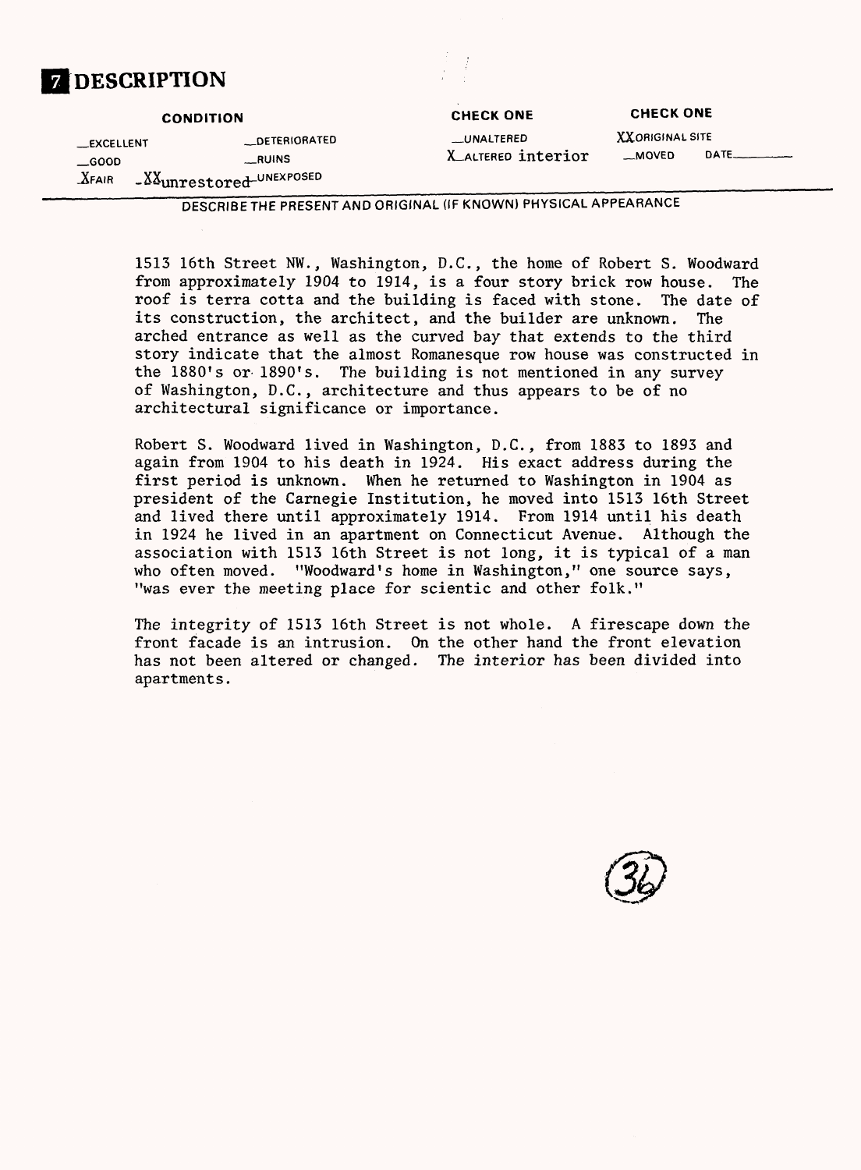|                                                    | <b>CONDITION</b>                                         | <b>CHECK ONE</b>                        | <b>CHECK ONE</b>                  |                     |
|----------------------------------------------------|----------------------------------------------------------|-----------------------------------------|-----------------------------------|---------------------|
| <b>EXCELLENT</b><br>$\equiv$ GOOD<br>$\Delta$ FAIR | _DETERIORATED<br>RUINS<br>$ XX$ unrestored $-$ UNEXPOSED | <b>LUNALTERED</b><br>X ALTERED interior | <b>XXORIGINAL SITE</b><br>__MOVED | $DATE$ <sub>1</sub> |

**DESCRIPTION**

1513 16th Street NW., Washington, D.C., the home of Robert S. Woodward from approximately 1904 to 1914, is a four story brick row house. The roof is terra cotta and the building is faced with stone. The date of its construction, the architect, and the builder are unknown. The arched entrance as well as the curved bay that extends to the third story indicate that the almost Romanesque row house was constructed in the 1880's or 1890's. The building is not mentioned in any survey of Washington, D.C., architecture and thus appears to be of no architectural significance or importance.

Robert S. Woodward lived in Washington, D.C., from 1883 to 1893 and again from 1904 to his death in 1924. His exact address during the first period is unknown. When he returned to Washington in 1904 as president of the Carnegie Institution, he moved into 1513 16th Street and lived there until approximately 1914. From 1914 until his death in 1924 he lived in an apartment on Connecticut Avenue. Although the association with 1513 16th Street is not long, it is typical of a man who often moved. "Woodward's home in Washington," one source says, "was ever the meeting place for scientic and other folk."

The integrity of 1513 16th Street is not whole. A firescape down the front facade is an intrusion. On the other hand the front elevation has not been altered or changed. The interior has been divided into apartments.

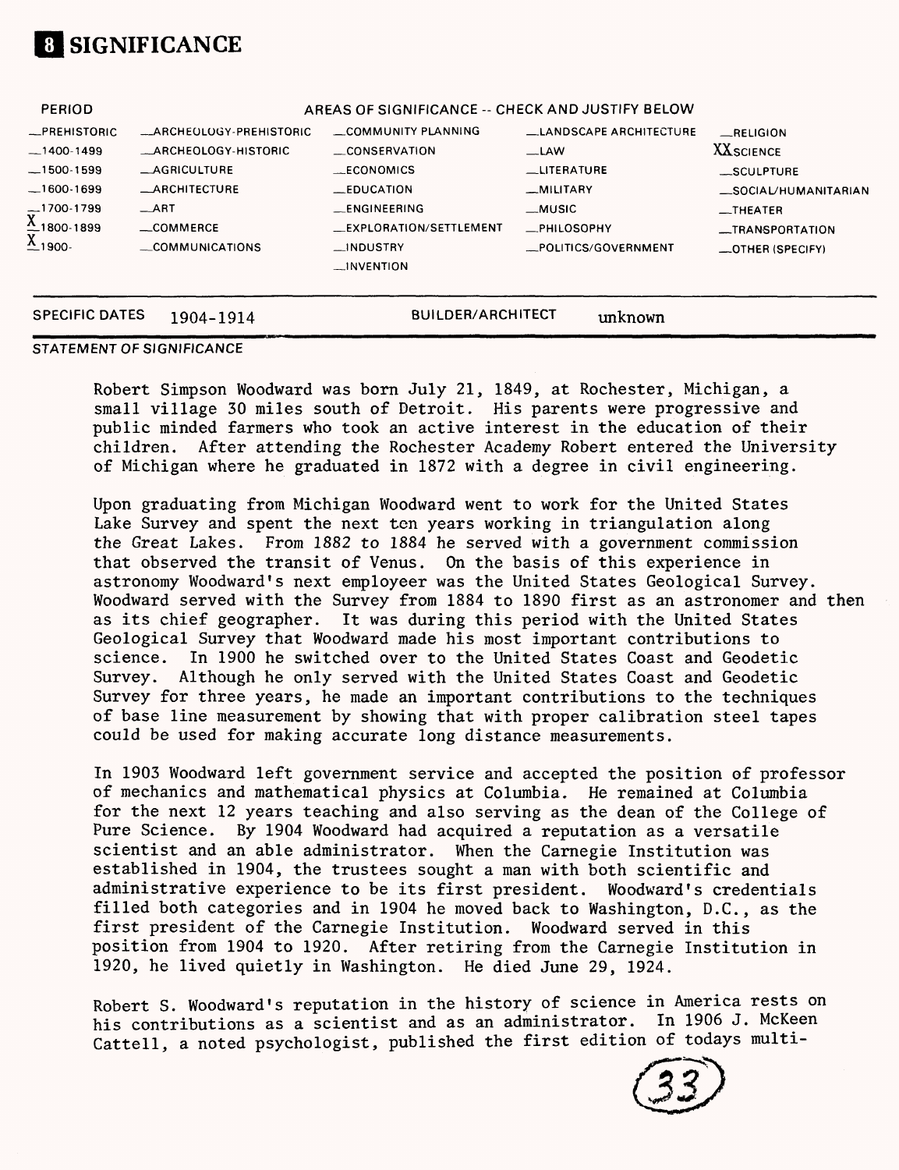

|                                               |                             | __INVENTION                                      |                        |                      |
|-----------------------------------------------|-----------------------------|--------------------------------------------------|------------------------|----------------------|
| $\underline{X}_{1900}$                        | COMMUNICATIONS              | $_{-}$ INDUSTRY                                  | _POLITICS/GOVERNMENT   | _OTHER (SPECIFY)     |
|                                               | COMMERCE                    | _EXPLORATION/SETTLEMENT                          | _PHILOSOPHY            | _TRANSPORTATION      |
| $\overline{\text{X}}^{1700-1799}_{1800-1899}$ | $-ART$                      | _ENGINEERING                                     | $-MUSIC$               | $-$ THEATER          |
| $-1600-1699$                                  | <b>_ARCHITECTURE</b>        | $-$ EDUCATION                                    | _MILITARY              | _SOCIAL/HUMANITARIAN |
| $-1500-1599$                                  | <b>_AGRICULTURE</b>         | $-CONOMICS$                                      | <b>LUTERATURE</b>      | _SCULPTURE           |
| $-1400 - 1499$                                | <b>_ARCHEOLOGY-HISTORIC</b> | CONSERVATION                                     | $-LAW$                 | <b>XXSCIENCE</b>     |
| -PREHISTORIC                                  | _ARCHEOLOGY-PREHISTORIC     | COMMUNITY PLANNING                               | LANDSCAPE ARCHITECTURE | RELIGION             |
| <b>PERIOD</b>                                 |                             | AREAS OF SIGNIFICANCE -- CHECK AND JUSTIFY BELOW |                        |                      |

#### **STATEMENT OF SIGNIFICANCE**

Robert Simpson Woodward was born July 21, 1849, at Rochester, Michigan, a small village 30 miles south of Detroit. His parents were progressive and public minded farmers who took an active interest in the education of their children. After attending the Rochester Academy Robert entered the University of Michigan where he graduated in 1872 with a degree in civil engineering.

Upon graduating from Michigan Woodward went to work for the United States Lake Survey and spent the next ten years working in triangulation along the Great Lakes. From 1882 to 1884 he served with a government commission that observed the transit of Venus. On the basis of this experience in astronomy Woodward's next employeer was the United States Geological Survey. Woodward served with the Survey from 1884 to 1890 first as an astronomer and then as its chief geographer. It was during this period with the United States Geological Survey that Woodward made his most important contributions to science. In 1900 he switched over to the United States Coast and Geodetic Survey. Although he only served with the United States Coast and Geodetic Survey for three years, he made an important contributions to the techniques of base line measurement by showing that with proper calibration steel tapes could be used for making accurate long distance measurements.

In 1903 Woodward left government service and accepted the position of professor of mechanics and mathematical physics at Columbia. He remained at Columbia for the next 12 years teaching and also serving as the dean of the College of Pure Science. By 1904 Woodward had acquired a reputation as a versatile scientist and an able administrator. When the Carnegie Institution was established in 1904, the trustees sought a man with both scientific and administrative experience to be its first president. Woodward's credentials filled both categories and in 1904 he moved back to Washington, D.C., as the first president of the Carnegie Institution. Woodward served in this position from 1904 to 1920. After retiring from the Carnegie Institution in 1920, he lived quietly in Washington. He died June 29, 1924.

Robert S. Woodward's reputation in the history of science in America rests on his contributions as a scientist and as an administrator. In 1906 J. McKeen Cattell, a noted psychologist, published the first edition of todays multi-

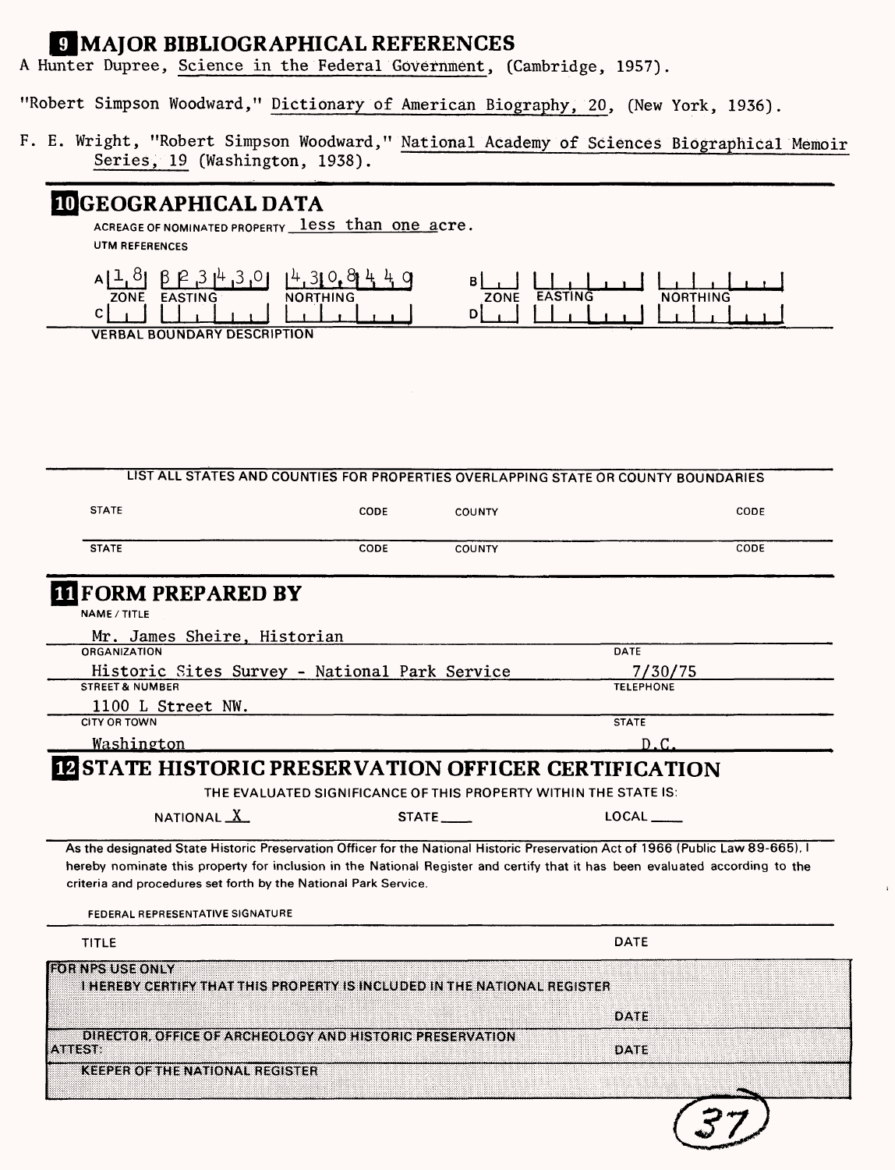# \_IMAJOR BIBLIOGRAPHICAL REFERENCES

A Hunter Dupree, Science in the Federal Government, (Cambridge, 1957).

"Robert Simpson Woodward," Dictionary of American Biography, 20, (New York, 1936).

F. E. Wright, "Robert Simpson Woodward," National Academy of Sciences Biographical Memoir Series, 19 (Washington, 1938).

# **OGEOGRAPHICAL DATA**

ACREAGE OF NOMINATED PROPERTY **less than one acre** UTM REFERENCES



**VERBAL BOUNDARY DESCRIPTION**

| <b>STATE</b>                                                                                                                                                                                                                                                                                                                                                           |      |                  | LIST ALL STATES AND COUNTIES FOR PROPERTIES OVERLAPPING STATE OR COUNTY BOUNDARIES |
|------------------------------------------------------------------------------------------------------------------------------------------------------------------------------------------------------------------------------------------------------------------------------------------------------------------------------------------------------------------------|------|------------------|------------------------------------------------------------------------------------|
|                                                                                                                                                                                                                                                                                                                                                                        | CODE | COUNTY           | CODE                                                                               |
| <b>STATE</b>                                                                                                                                                                                                                                                                                                                                                           | CODE | <b>COUNTY</b>    | CODE                                                                               |
| <b>III</b> FORM PREPARED BY                                                                                                                                                                                                                                                                                                                                            |      |                  |                                                                                    |
| <b>NAME / TITLE</b>                                                                                                                                                                                                                                                                                                                                                    |      |                  |                                                                                    |
| Mr. James Sheire, Historian<br><b>ORGANIZATION</b>                                                                                                                                                                                                                                                                                                                     |      | <b>DATE</b>      |                                                                                    |
| Historic Sites Survey - National Park Service                                                                                                                                                                                                                                                                                                                          |      | 7/30/75          |                                                                                    |
| <b>STREET &amp; NUMBER</b>                                                                                                                                                                                                                                                                                                                                             |      | <b>TELEPHONE</b> |                                                                                    |
| 1100 L Street NW.                                                                                                                                                                                                                                                                                                                                                      |      |                  |                                                                                    |
| <b>CITY OR TOWN</b>                                                                                                                                                                                                                                                                                                                                                    |      | <b>STATE</b>     |                                                                                    |
| <u>Washington</u>                                                                                                                                                                                                                                                                                                                                                      |      | D.C.             |                                                                                    |
| As the designated State Historic Preservation Officer for the National Historic Preservation Act of 1966 (Public Law 89-665). I<br>hereby nominate this property for inclusion in the National Register and certify that it has been evaluated according to the<br>criteria and procedures set forth by the National Park Service.<br>FEDERAL REPRESENTATIVE SIGNATURE |      |                  |                                                                                    |
|                                                                                                                                                                                                                                                                                                                                                                        |      |                  |                                                                                    |
| TITLE                                                                                                                                                                                                                                                                                                                                                                  |      | DATE             |                                                                                    |
|                                                                                                                                                                                                                                                                                                                                                                        |      |                  |                                                                                    |
| I HEREBY CERTIFY THAT THIS PROPERTY IS INCLUDED IN THE NATIONAL REGISTER                                                                                                                                                                                                                                                                                               |      |                  |                                                                                    |
|                                                                                                                                                                                                                                                                                                                                                                        |      | DATE             |                                                                                    |
| DIRECTOR, OFFICE OF ARCHEOLOGY AND HISTORIC PRESERVATION<br><b>ATTEST:</b>                                                                                                                                                                                                                                                                                             |      | <b>DATE</b>      |                                                                                    |
| <b>FOR NPS USE ONLY</b>                                                                                                                                                                                                                                                                                                                                                |      |                  |                                                                                    |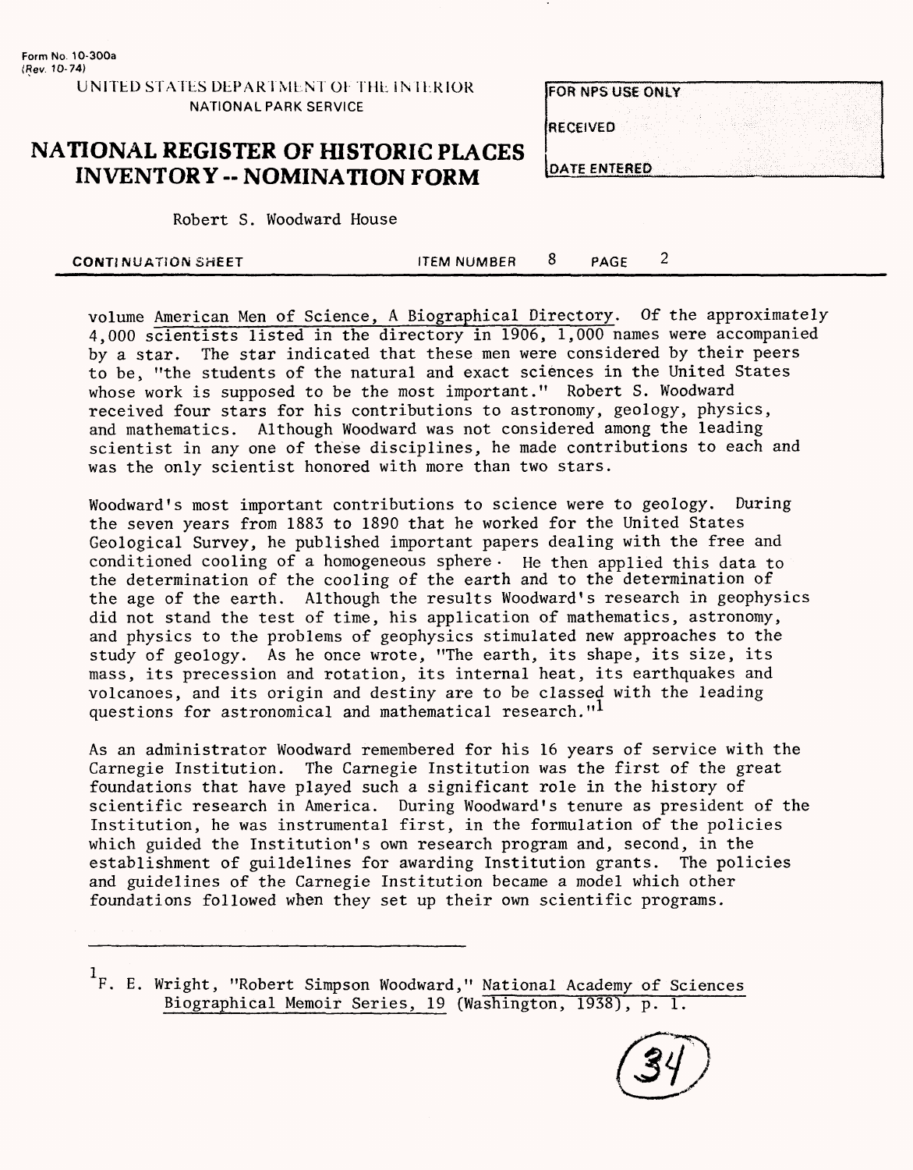**UNITED STATES DEPARTMENT Oh THE INTERIOR NATIONAL PARK SERVICE**

# **NATIONAL REGISTER OF HISTORIC PLACES INVENTORY -- NOMINATION FORM**

Robert S. Woodward House

| <b>FOR NPS USE ONLY</b> |  |  |  |  |
|-------------------------|--|--|--|--|
|                         |  |  |  |  |
| <b>IRECEIVED</b>        |  |  |  |  |
|                         |  |  |  |  |
|                         |  |  |  |  |
| <b>DATE ENTERED</b>     |  |  |  |  |

| <b>CONTINUATION SHEET</b> | <b>ITEM NUMBER</b> |  | PAGE |  |  |
|---------------------------|--------------------|--|------|--|--|
|---------------------------|--------------------|--|------|--|--|

volume American Men of Science, A Biographical Directory. Of the approximately 4,000 scientists listed in the directory in 1906, 1,000 names were accompanied by a star. The star indicated that these men were considered by their peers to be, "the students of the natural and exact sciences in the United States whose work is supposed to be the most important." Robert S. Woodward received four stars for his contributions to astronomy, geology, physics, and mathematics. Although Woodward was not considered among the leading scientist in any one of these disciplines, he made contributions to each and was the only scientist honored with more than two stars.

Woodward's most important contributions to science were to geology. During the seven years from 1883 to 1890 that he worked for the United States Geological Survey, he published important papers dealing with the free and conditioned cooling of a homogeneous sphere • He then applied this data to the determination of the cooling of the earth and to the determination of the age of the earth. Although the results Woodward's research in geophysics did not stand the test of time, his application of mathematics, astronomy, and physics to the problems of geophysics stimulated new approaches to the study of geology. As he once wrote, "The earth, its shape, its size, its mass, its precession and rotation, its internal heat, its earthquakes and volcanoes, and its origin and destiny are to be classed with the leading questions for astronomical and mathematical research."<sup>1</sup>

As an administrator Woodward remembered for his 16 years of service with the Carnegie Institution. The Carnegie Institution was the first of the great foundations that have played such a significant role in the history of scientific research in America. During Woodward's tenure as president of the Institution, he was instrumental first, in the formulation of the policies which guided the Institution's own research program and, second, in the establishment of guildelines for awarding Institution grants. The policies and guidelines of the Carnegie Institution became a model which other foundations followed when they set up their own scientific programs.

<sup>1</sup>F. E. Wright, "Robert Simpson Woodward," National Academy of Sciences Biographical Memoir Series, 19 (Washington, 1938), p. 1.